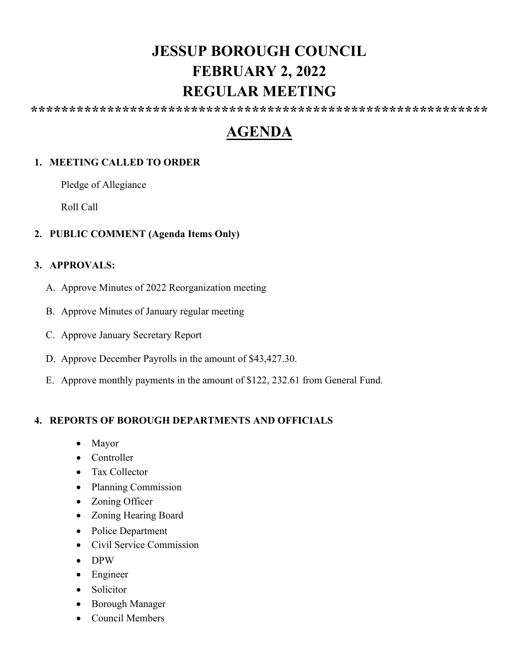# **JESSUP BOROUGH COUNCIL FEBRUARY 2, 2022 REGULAR MEETING**

**\*\*\*\*\*\*\*\*\*\*\*\*\*\*\*\*\*\*\*\*\*\*\*\*\*\*\*\*\*\*\*\*\*\*\*\*\*\*\*\*\*\*\*\*\*\*\*\*\*\*\*\*\*\*\*\*\*\*\*\***

# **AGENDA**

# **1. MEETING CALLED TO ORDER**

Pledge of Allegiance

Roll Call

### **2. PUBLIC COMMENT (Agenda Items Only)**

#### **3. APPROVALS:**

- A. Approve Minutes of 2022 Reorganization meeting
- B. Approve Minutes of January regular meeting
- C. Approve January Secretary Report
- D. Approve December Payrolls in the amount of \$43,427.30.
- E. Approve monthly payments in the amount of \$122, 232.61 from General Fund.

#### **4. REPORTS OF BOROUGH DEPARTMENTS AND OFFICIALS**

- Mayor
- Controller
- Tax Collector
- Planning Commission
- Zoning Officer
- Zoning Hearing Board
- Police Department
- Civil Service Commission
- DPW
- Engineer
- Solicitor
- Borough Manager
- Council Members